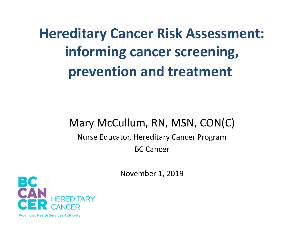**Hereditary Cancer Risk Assessment: informing cancer screening, prevention and treatment**

### Mary McCullum, RN, MSN, CON(C)

### Nurse Educator, Hereditary Cancer Program BC Cancer

November 1, 2019

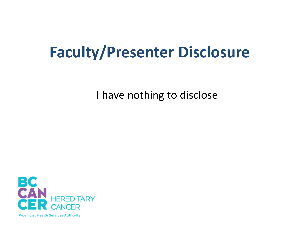### **Faculty/Presenter Disclosure**

I have nothing to disclose

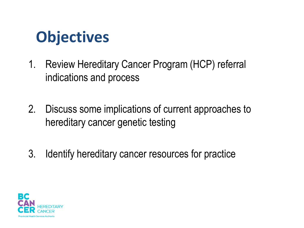### **Objectives**

- 1. Review Hereditary Cancer Program (HCP) referral indications and process
- 2. Discuss some implications of current approaches to hereditary cancer genetic testing
- 3. Identify hereditary cancer resources for practice

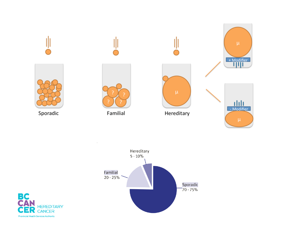



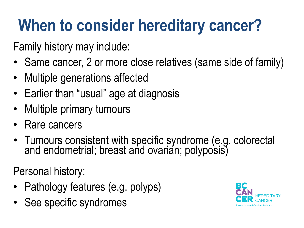# **When to consider hereditary cancer?**

Family history may include:

- Same cancer, 2 or more close relatives (same side of family)
- Multiple generations affected
- Earlier than "usual" age at diagnosis
- Multiple primary tumours
- Rare cancers
- Tumours consistent with specific syndrome (e.g. colorectal and endometrial; breast and ovarian; polyposis)

Personal history:

- Pathology features (e.g. polyps)
- See specific syndromes

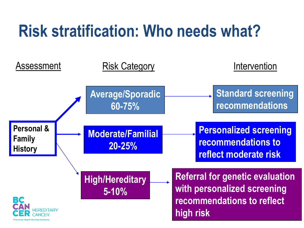## **Risk stratification: Who needs what?**

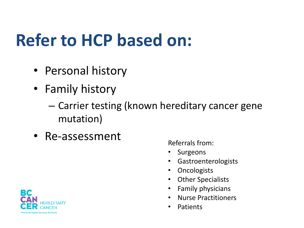## **Refer to HCP based on:**

- Personal history
- Family history
	- Carrier testing (known hereditary cancer gene mutation)
- Re-assessment

Referrals from:

- Surgeons
- Gastroenterologists
- Oncologists
- Other Specialists
- Family physicians
- Nurse Practitioners
- Patients

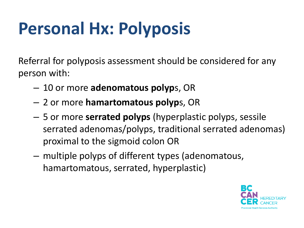## **Personal Hx: Polyposis**

Referral for polyposis assessment should be considered for any person with:

- 10 or more **adenomatous polyp**s, OR
- 2 or more **hamartomatous polyp**s, OR
- 5 or more **serrated polyps** (hyperplastic polyps, sessile serrated adenomas/polyps, traditional serrated adenomas) proximal to the sigmoid colon OR
- multiple polyps of different types (adenomatous, hamartomatous, serrated, hyperplastic)

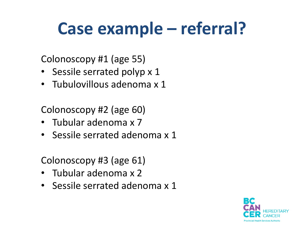## **Case example – referral?**

Colonoscopy #1 (age 55)

- Sessile serrated polyp x 1
- Tubulovillous adenoma x 1

Colonoscopy #2 (age 60)

- Tubular adenoma x 7
- Sessile serrated adenoma x 1

Colonoscopy #3 (age 61)

- Tubular adenoma x 2
- Sessile serrated adenoma x 1

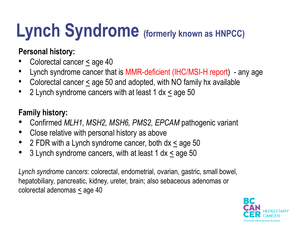# **Lynch Syndrome (formerly known as HNPCC)**

### **Personal history:**

- Colorectal cancer < age 40
- Lynch syndrome cancer that is MMR-deficient (IHC/MSI-H report) any age
- Colorectal cancer < age 50 and adopted, with NO family hx available
- 2 Lynch syndrome cancers with at least 1 dx < age 50

### **Family history:**

- Confirmed *MLH1, MSH2, MSH6, PMS2, EPCAM* pathogenic variant
- Close relative with personal history as above
- 2 FDR with a Lynch syndrome cancer, both dx < age 50
- 3 Lynch syndrome cancers, with at least 1 dx < age 50

*Lynch syndrome cancers*: colorectal, endometrial, ovarian, gastric, small bowel, hepatobiliary, pancreatic, kidney, ureter, brain; also sebaceous adenomas or colorectal adenomas  $\leq$  age 40

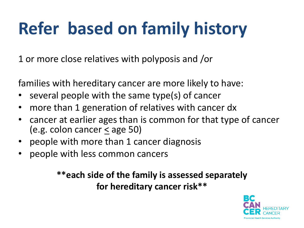# **Refer based on family history**

1 or more close relatives with polyposis and /or

families with hereditary cancer are more likely to have:

- several people with the same type(s) of cancer
- more than 1 generation of relatives with cancer dx
- cancer at earlier ages than is common for that type of cancer (e.g. colon cancer < age 50)
- people with more than 1 cancer diagnosis
- people with less common cancers

### **\*\*each side of the family is assessed separately for hereditary cancer risk\*\***

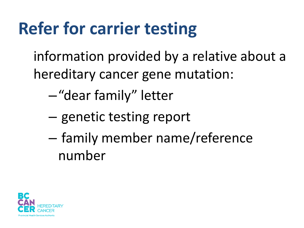## **Refer for carrier testing**

information provided by a relative about a hereditary cancer gene mutation:

- –"dear family" letter
- genetic testing report
- family member name/reference number

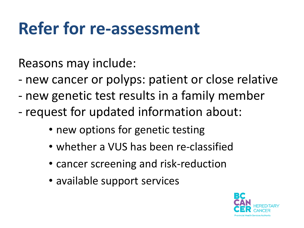## **Refer for re-assessment**

Reasons may include:

- new cancer or polyps: patient or close relative
- new genetic test results in a family member
- request for updated information about:
	- new options for genetic testing
	- whether a VUS has been re-classified
	- cancer screening and risk-reduction
	- available support services

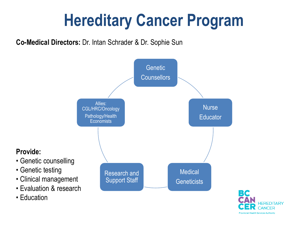## **Hereditary Cancer Program**

**Co-Medical Directors:** Dr. Intan Schrader & Dr. Sophie Sun

**Provide:**

• Genetic testing

• Education



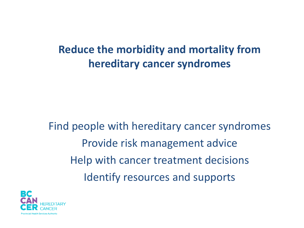### **Reduce the morbidity and mortality from hereditary cancer syndromes**

Find people with hereditary cancer syndromes Provide risk management advice Help with cancer treatment decisions Identify resources and supports

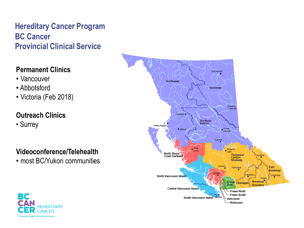#### **Hereditary Cancer Program BC Cancer Provincial Clinical Service**

#### **Permanent Clinics**

- Vancouver
- Abbotsford
- Victoria (Feb 2018)

#### **Outreach Clinics**

• Surrey

#### **Videoconference/Telehealth**

• most BC/Yukon communities



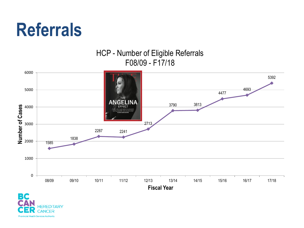

#### HCP - Number of Eligible Referrals F08/09 - F17/18



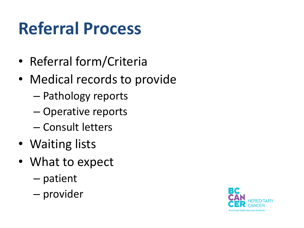# **Referral Process**

- Referral form/Criteria
- Medical records to provide
	- Pathology reports
	- Operative reports
	- Consult letters
- Waiting lists
- What to expect
	- patient
	- provider

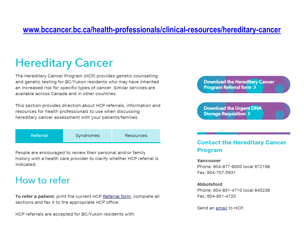#### **[www.bccancer.bc.ca/health-professionals/clinical-resources/hereditary-cancer](http://www.bccancer.bc.ca/health-professionals/clinical-resources/hereditary-cancer)**

### **Hereditary Cancer**

The Hereditary Cancer Program (HCP) provides genetic counselling and genetic testing for BC/Yukon residents who may have inherited an increased risk for specific types of cancer. Similar services are available across Canada and in other countries.

This section provides direction about HCP referrals, information and resources for health professionals to use when discussing hereditary cancer assessment with your patients/families.

People are encouraged to review their personal and/or family history with a health care provider to clarify whether HCP referral is indicated.

### How to refer

To refer a patient, print the current HCP Referral form, complete all sections and fax it to the appropriate HCP office.

HCP referrals are accepted for BC/Yukon residents with:

**Download the Hereditary Cancer Program Referral form >** 

**Download the Urgent DNA Storage Requisition >** 

#### **Contact the Hereditary Cancer Program**

#### **Vancouver**

Phone: 604-877-6000 local 672198 Fax: 604-707-5931

#### **Abbotsford**

Phone: 604-851-4710 local 645236 Fax: 604-851-4720

Send an email to HCP.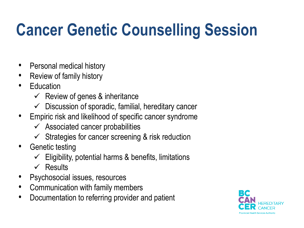# **Cancer Genetic Counselling Session**

- Personal medical history
- Review of family history
- **Education** 
	- $\checkmark$  Review of genes & inheritance
	- $\checkmark$  Discussion of sporadic, familial, hereditary cancer
- Empiric risk and likelihood of specific cancer syndrome
	- $\checkmark$  Associated cancer probabilities
	- $\checkmark$  Strategies for cancer screening & risk reduction
- Genetic testing
	- $\checkmark$  Eligibility, potential harms & benefits, limitations
	- $\checkmark$  Results
- Psychosocial issues, resources
- Communication with family members
- Documentation to referring provider and patient

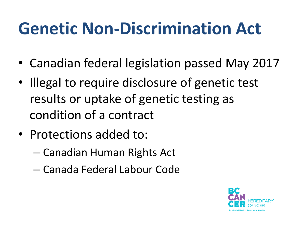## **Genetic Non-Discrimination Act**

- Canadian federal legislation passed May 2017
- Illegal to require disclosure of genetic test results or uptake of genetic testing as condition of a contract
- Protections added to:
	- Canadian Human Rights Act
	- Canada Federal Labour Code

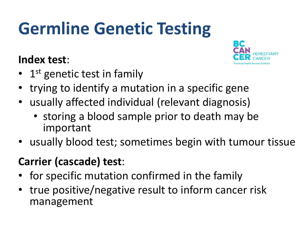# **Germline Genetic Testing**

### **Index test**:



- 1<sup>st</sup> genetic test in family
- trying to identify a mutation in a specific gene
- usually affected individual (relevant diagnosis)
	- storing a blood sample prior to death may be important
- usually blood test; sometimes begin with tumour tissue

### **Carrier (cascade) test**:

- for specific mutation confirmed in the family
- true positive/negative result to inform cancer risk management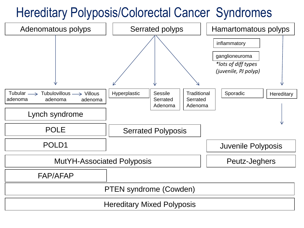### Hereditary Polyposis/Colorectal Cancer Syndromes

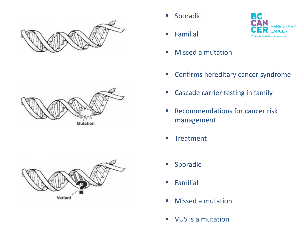







**Familial** 



- **Missed a mutation**
- **EX Confirms hereditary cancer syndrome**
- Cascade carrier testing in family
- **Recommendations for cancer risk** management
- **Treatment**
- Sporadic
- **Familial**
- **Missed a mutation**
- **VUS** is a mutation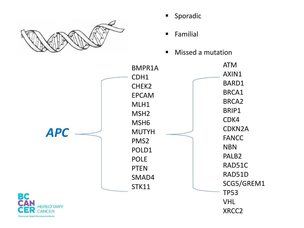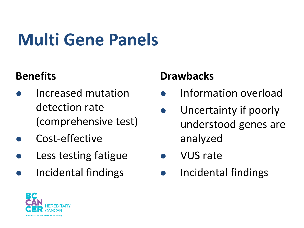# **Multi Gene Panels**

### **Benefits**

- Increased mutation detection rate (comprehensive test)
- Cost-effective
- Less testing fatigue
- Incidental findings

### **Drawbacks**

- Information overload
- Uncertainty if poorly understood genes are analyzed
- VUS rate
- Incidental findings

![](_page_25_Picture_11.jpeg)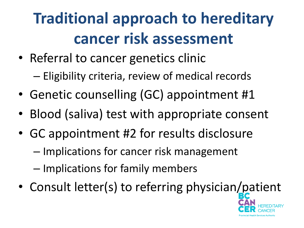## **Traditional approach to hereditary cancer risk assessment**

- Referral to cancer genetics clinic
	- Eligibility criteria, review of medical records
- Genetic counselling (GC) appointment #1
- Blood (saliva) test with appropriate consent
- GC appointment #2 for results disclosure
	- Implications for cancer risk management
	- Implications for family members
- Consult letter(s) to referring physician/patient

![](_page_26_Picture_9.jpeg)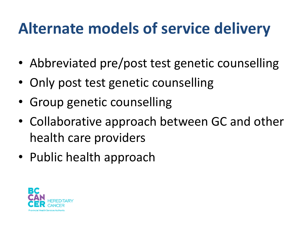### **Alternate models of service delivery**

- Abbreviated pre/post test genetic counselling
- Only post test genetic counselling
- Group genetic counselling
- Collaborative approach between GC and other health care providers
- Public health approach

![](_page_27_Picture_6.jpeg)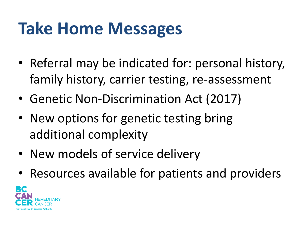## **Take Home Messages**

- Referral may be indicated for: personal history, family history, carrier testing, re-assessment
- Genetic Non-Discrimination Act (2017)
- New options for genetic testing bring additional complexity
- New models of service delivery
- Resources available for patients and providers

![](_page_28_Picture_6.jpeg)